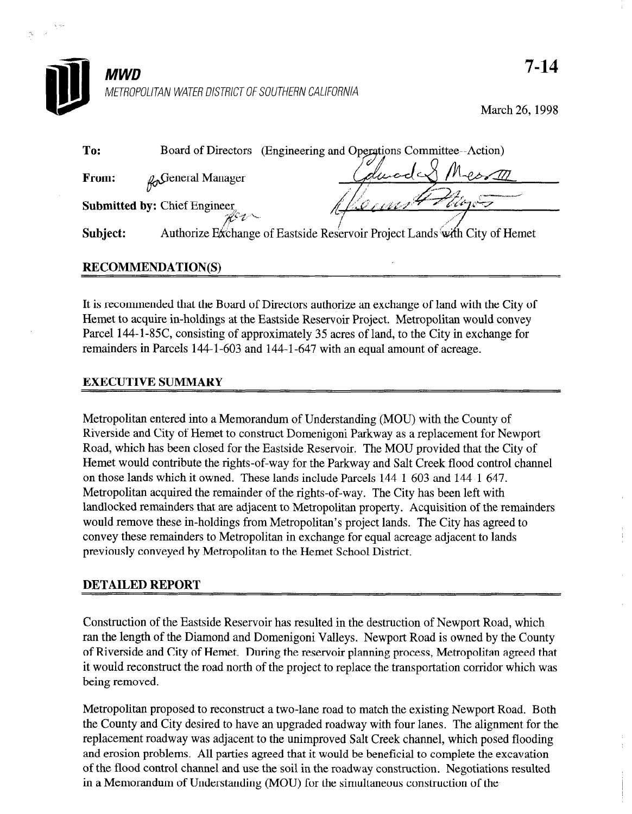

March 26,199s

| To:          | Board of Directors                  | (Engineering and Operations Committee--Action)                            |
|--------------|-------------------------------------|---------------------------------------------------------------------------|
| <b>From:</b> | <b>Ro</b> General Manager           | duodet                                                                    |
|              | <b>Submitted by: Chief Engineer</b> |                                                                           |
| Subject:     |                                     | Authorize Exchange of Eastside Reservoir Project Lands with City of Hemet |

## **RECOMMENDATION(S)**

It is recommended that the Board of Directors authorize an exchange of land with the City of Hemet to acquire in-holdings at the Eastside Reservoir Project. Metropolitan would convey Parcel 144-1-85C, consisting of approximately 35 acres of land, to the City in exchange for remainders in Parcels 144-l-603 and 144-1-647 with an equal amount of acreage.

## EXECUTIVE SUMMARY

 $M$ etropolitan entered into a Memorandum of Understanding (MOU) with the County of Understanding (MOU) with the County of Understanding (MOU) with the County of Understanding (MOU) with the County of Understanding (MOU) w  $Ricirb$  of  $Ricirb$  the construction of  $Ricirb$  of  $Cicirb$  and  $Cicirb$  and  $Cicirb$  and  $Cicirb$  and  $Cicirb$  and  $Cicirb$  and  $Cicirb$  and  $Cicirb$  and  $Cicirb$  and  $Cicirb$  and  $Cicirb$  and  $Cicirb$  and  $Cicirb$  and  $Cicirb$  and  $Cicirb$  and  $Cicirb$  and Riverside and City of Hemet to construct Domenigoni Parkway as a replacement for Newport Road, which has been closed for the Eastside Reservoir. The MOU provided that the City of Hemet would contribute the rights-of-way for the Parkway and Salt Creek flood control channel on those lands which it owned. These lands include Parcels  $144-1-603$  and  $144-1-647$ . Metropolitan acquired the remainder of the rights-of-way. The City has been left with land locked remainders that are adjacent to Metropolitan property. Acquisition of the remainders would remove these in-holdings from Metropolitan's project lands. The City has agreed to convey these remainders to Metropolitan in exchange for equal acreage adjacent to lands previously conveyed by Metropolitan to the Hemet School District.

Construction of the Eastside Reservoir has resulted in the destruction of Newport Road, which ran the length of the Diamond and Domenigoni Valleys. Newport Road is owned by the County of Riverside and City of Hemet. During the reservoir planning process, Metropolitan agreed that it would reconstruct the road north of the project to replace the transportation corridor which was being removed.

Metropolitan proposed to reconstruct a two-lane road to match the existing Newport Road. Both the County and City desired to have an upgraded roadway with four lanes. The alignment for the replacement roadway was adjacent to the unimproved Salt Creek channel, which posed flooding and erosion problems. All parties agreed that it would be beneficial to complete the excavation of the flood control channel and use the soil in the roadway construction. Negotiations resulted in a Memorandum of Understanding (MOU) for the simultaneous construction of the